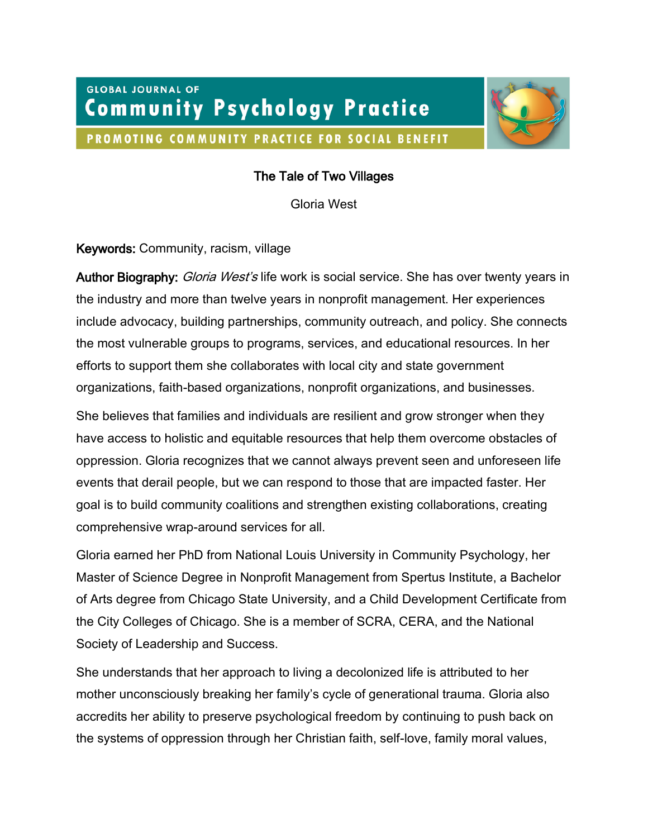# **GLOBAL JOURNAL OF Community Psychology Practice**

PROMOTING COMMUNITY PRACTICE FOR SOCIAL BENEFIT



# The Tale of Two Villages

Gloria West

## Keywords: Community, racism, village

Author Biography: *Gloria West's* life work is social service. She has over twenty years in the industry and more than twelve years in nonprofit management. Her experiences include advocacy, building partnerships, community outreach, and policy. She connects the most vulnerable groups to programs, services, and educational resources. In her efforts to support them she collaborates with local city and state government organizations, faith-based organizations, nonprofit organizations, and businesses.

She believes that families and individuals are resilient and grow stronger when they have access to holistic and equitable resources that help them overcome obstacles of oppression. Gloria recognizes that we cannot always prevent seen and unforeseen life events that derail people, but we can respond to those that are impacted faster. Her goal is to build community coalitions and strengthen existing collaborations, creating comprehensive wrap-around services for all.

Gloria earned her PhD from National Louis University in Community Psychology, her Master of Science Degree in Nonprofit Management from Spertus Institute, a Bachelor of Arts degree from Chicago State University, and a Child Development Certificate from the City Colleges of Chicago. She is a member of SCRA, CERA, and the National Society of Leadership and Success.

She understands that her approach to living a decolonized life is attributed to her mother unconsciously breaking her family's cycle of generational trauma. Gloria also accredits her ability to preserve psychological freedom by continuing to push back on the systems of oppression through her Christian faith, self-love, family moral values,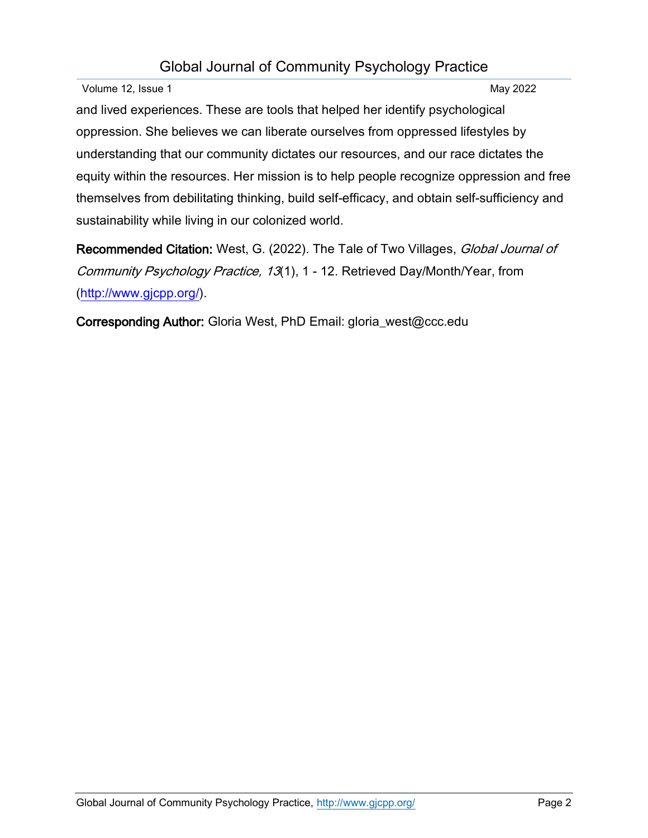Volume 12, Issue 1 May 2022

and lived experiences. These are tools that helped her identify psychological oppression. She believes we can liberate ourselves from oppressed lifestyles by understanding that our community dictates our resources, and our race dictates the equity within the resources. Her mission is to help people recognize oppression and free themselves from debilitating thinking, build self-efficacy, and obtain self-sufficiency and sustainability while living in our colonized world.

Recommended Citation: West, G. (2022). The Tale of Two Villages, Global Journal of Community Psychology Practice, 13(1), 1 - 12. Retrieved Day/Month/Year, from [\(http://www.gjcpp.org/\)](http://www.gjcpp.org/).

Corresponding Author: Gloria West, PhD Email: gloria\_west@ccc.edu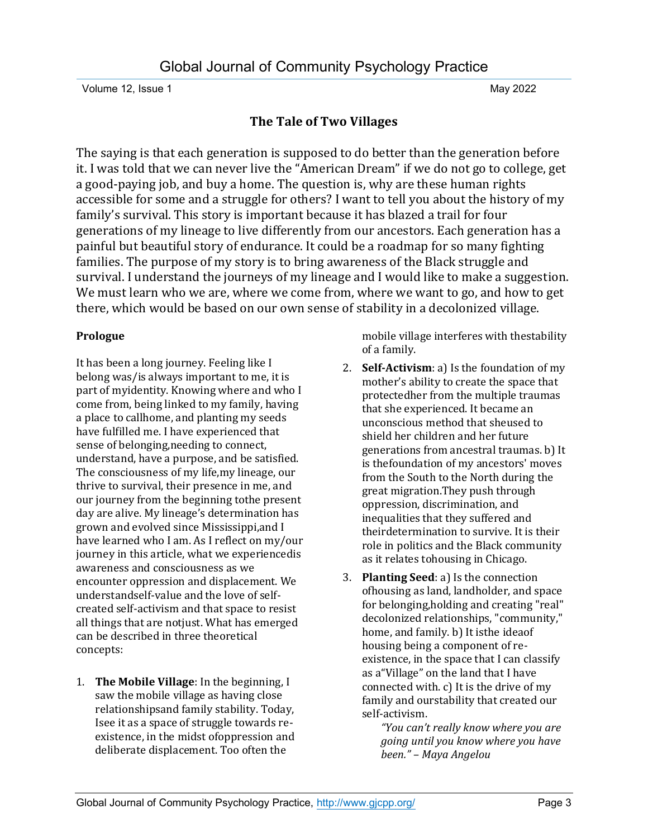## **The Tale of Two Villages**

The saying is that each generation is supposed to do better than the generation before it. I was told that we can never live the "American Dream" if we do not go to college, get a good-paying job, and buy a home. The question is, why are these human rights accessible for some and a struggle for others? I want to tell you about the history of my family's survival. This story is important because it has blazed a trail for four generations of my lineage to live differently from our ancestors. Each generation has a painful but beautiful story of endurance. It could be a roadmap for so many fighting families. The purpose of my story is to bring awareness of the Black struggle and survival. I understand the journeys of my lineage and I would like to make a suggestion. We must learn who we are, where we come from, where we want to go, and how to get there, which would be based on our own sense of stability in a decolonized village.

## **Prologue**

It has been a long journey. Feeling like I belong was/is always important to me, it is part of myidentity. Knowing where and who I come from, being linked to my family, having a place to callhome, and planting my seeds have fulfilled me. I have experienced that sense of belonging,needing to connect, understand, have a purpose, and be satisfied. The consciousness of my life,my lineage, our thrive to survival, their presence in me, and our journey from the beginning tothe present day are alive. My lineage's determination has grown and evolved since Mississippi,and I have learned who I am. As I reflect on my/our journey in this article, what we experiencedis awareness and consciousness as we encounter oppression and displacement. We understandself-value and the love of selfcreated self-activism and that space to resist all things that are notjust. What has emerged can be described in three theoretical concepts:

1. **The Mobile Village**: In the beginning, I saw the mobile village as having close relationshipsand family stability. Today, Isee it as a space of struggle towards reexistence, in the midst ofoppression and deliberate displacement. Too often the

mobile village interferes with thestability of a family.

- 2. **Self-Activism**: a) Is the foundation of my mother's ability to create the space that protectedher from the multiple traumas that she experienced. It became an unconscious method that sheused to shield her children and her future generations from ancestral traumas. b) It is thefoundation of my ancestors' moves from the South to the North during the great migration.They push through oppression, discrimination, and inequalities that they suffered and theirdetermination to survive. It is their role in politics and the Black community as it relates tohousing in Chicago.
- 3. **Planting Seed**: a) Is the connection ofhousing as land, landholder, and space for belonging,holding and creating "real" decolonized relationships, "community," home, and family. b) It isthe ideaof housing being a component of reexistence, in the space that I can classify as a"Village" on the land that I have connected with. c) It is the drive of my family and ourstability that created our self-activism.

*"You can't really know where you are going until you know where you have been." – Maya Angelou*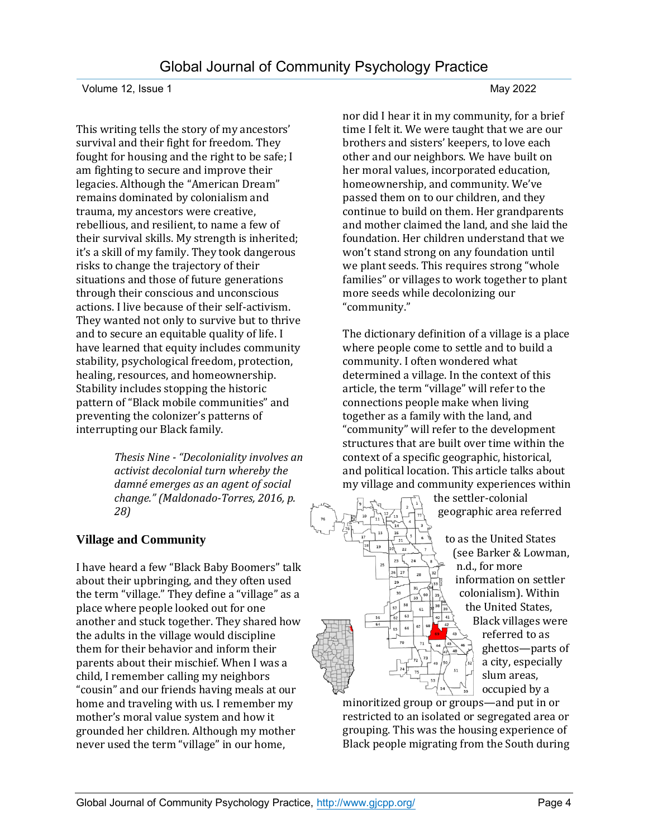This writing tells the story of my ancestors' survival and their fight for freedom. They fought for housing and the right to be safe; I am fighting to secure and improve their legacies. Although the "American Dream" remains dominated by colonialism and trauma, my ancestors were creative, rebellious, and resilient, to name a few of their survival skills. My strength is inherited; it's a skill of my family. They took dangerous risks to change the trajectory of their situations and those of future generations through their conscious and unconscious actions. I live because of their self-activism. They wanted not only to survive but to thrive and to secure an equitable quality of life. I have learned that equity includes community stability, psychological freedom, protection, healing, resources, and homeownership. Stability includes stopping the historic pattern of "Black mobile communities" and preventing the colonizer's patterns of interrupting our Black family.

> *Thesis Nine - "Decoloniality involves an activist decolonial turn whereby the damné emerges as an agent of social change." (Maldonado-Torres, 2016, p. 28)*

## **Village and Community**

I have heard a few "Black Baby Boomers" talk about their upbringing, and they often used the term "village." They define a "village" as a place where people looked out for one another and stuck together. They shared how the adults in the village would discipline them for their behavior and inform their parents about their mischief. When I was a child, I remember calling my neighbors "cousin" and our friends having meals at our home and traveling with us. I remember my mother's moral value system and how it grounded her children. Although my mother never used the term "village" in our home,

nor did I hear it in my community, for a brief time I felt it. We were taught that we are our brothers and sisters' keepers, to love each other and our neighbors. We have built on her moral values, incorporated education, homeownership, and community. We've passed them on to our children, and they continue to build on them. Her grandparents and mother claimed the land, and she laid the foundation. Her children understand that we won't stand strong on any foundation until we plant seeds. This requires strong "whole families" or villages to work together to plant more seeds while decolonizing our "community."

The dictionary definition of a village is a place where people come to settle and to build a community. I often wondered what determined a village. In the context of this article, the term "village" will refer to the connections people make when living together as a family with the land, and "community" will refer to the development structures that are built over time within the context of a specific geographic, historical, and political location. This article talks about my village and community experiences within the settler-colonial

23

geographic area referred to as the United States (see Barker & Lowman, n.d., for more information on settler colonialism). Within the United States, Black villages were referred to as ghettos—parts of a city, especially slum areas, occupied by a

minoritized group or groups—and put in or restricted to an isolated or segregated area or grouping. This was the housing experience of Black people migrating from the South during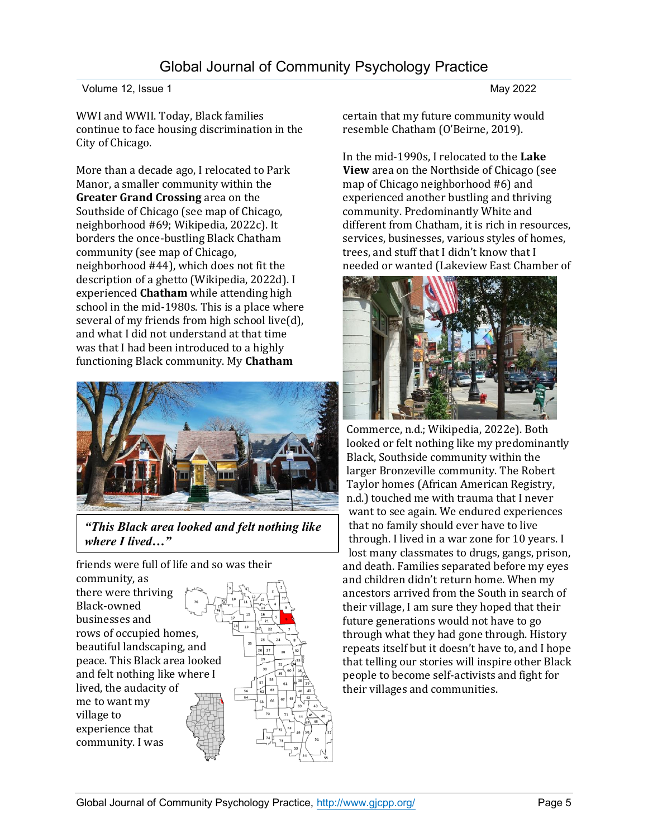WWI and WWII. Today, Black families continue to face housing discrimination in the City of Chicago.

More than a decade ago, I relocated to Park Manor, a smaller community within the **Greater Grand Crossing** area on the Southside of Chicago (see map of Chicago, neighborhood #69; Wikipedia, 2022c). It borders the once-bustling Black Chatham community (see map of Chicago, neighborhood #44), which does not fit the description of a ghetto (Wikipedia, 2022d). I experienced **Chatham** while attending high school in the mid-1980s. This is a place where several of my friends from high school live(d), and what I did not understand at that time was that I had been introduced to a highly functioning Black community. My **Chatham**



*"This Black area looked and felt nothing like where I lived…"*

friends were full of life and so was their

community, as there were thriving Black-owned businesses and rows of occupied homes, beautiful landscaping, and peace. This Black area looked and felt nothing like where I lived, the audacity of me to want my village to experience that community. I was



certain that my future community would resemble Chatham (O'Beirne, 2019).

In the mid-1990s, I relocated to the **Lake View** area on the Northside of Chicago (see map of Chicago neighborhood #6) and experienced another bustling and thriving community. Predominantly White and different from Chatham, it is rich in resources, services, businesses, various styles of homes, trees, and stuff that I didn't know that I needed or wanted (Lakeview East Chamber of



Commerce, n.d.; Wikipedia, 2022e). Both looked or felt nothing like my predominantly Black, Southside community within the larger Bronzeville community. The Robert Taylor homes (African American Registry, n.d.) touched me with trauma that I never want to see again. We endured experiences that no family should ever have to live through. I lived in a war zone for 10 years. I lost many classmates to drugs, gangs, prison, and death. Families separated before my eyes and children didn't return home. When my ancestors arrived from the South in search of their village, I am sure they hoped that their future generations would not have to go through what they had gone through. History repeats itself but it doesn't have to, and I hope that telling our stories will inspire other Black people to become self-activists and fight for their villages and communities.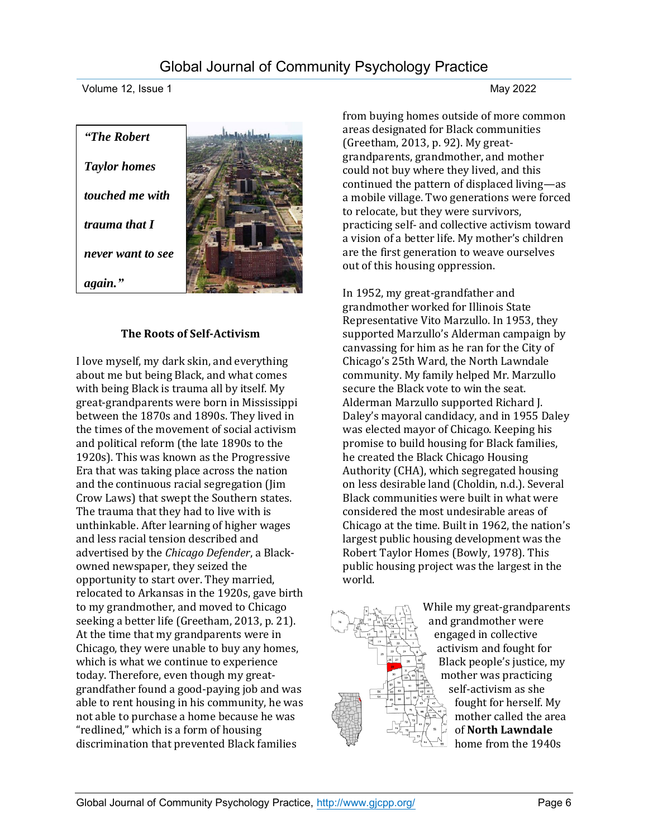■ 大学 大学 キャンド

Volume 12, Issue 1 May 2022

| "The Robert"        |  |
|---------------------|--|
| <b>Taylor homes</b> |  |
| touched me with     |  |
| trauma that I       |  |
| never want to see   |  |
| again.              |  |

## **The Roots of Self-Activism**

I love myself, my dark skin, and everything about me but being Black, and what comes with being Black is trauma all by itself. My great-grandparents were born in Mississippi between the 1870s and 1890s. They lived in the times of the movement of social activism and political reform (the late 1890s to the 1920s). This was known as the Progressive Era that was taking place across the nation and the continuous racial segregation (Jim Crow Laws) that swept the Southern states. The trauma that they had to live with is unthinkable. After learning of higher wages and less racial tension described and advertised by the *Chicago Defender*, a Blackowned newspaper, they seized the opportunity to start over. They married, relocated to Arkansas in the 1920s, gave birth to my grandmother, and moved to Chicago seeking a better life (Greetham, 2013, p. 21). At the time that my grandparents were in Chicago, they were unable to buy any homes, which is what we continue to experience today. Therefore, even though my greatgrandfather found a good-paying job and was able to rent housing in his community, he was not able to purchase a home because he was "redlined," which is a form of housing discrimination that prevented Black families

from buying homes outside of more common areas designated for Black communities (Greetham, 2013, p. 92). My greatgrandparents, grandmother, and mother could not buy where they lived, and this continued the pattern of displaced living—as a mobile village. Two generations were forced to relocate, but they were survivors, practicing self- and collective activism toward a vision of a better life. My mother's children are the first generation to weave ourselves out of this housing oppression.

In 1952, my great-grandfather and grandmother worked for Illinois State Representative Vito Marzullo. In 1953, they supported Marzullo's Alderman campaign by canvassing for him as he ran for the City of Chicago's 25th Ward, the North Lawndale community. My family helped Mr. Marzullo secure the Black vote to win the seat. Alderman Marzullo supported Richard J. Daley's mayoral candidacy, and in 1955 Daley was elected mayor of Chicago. Keeping his promise to build housing for Black families, he created the Black Chicago Housing Authority (CHA), which segregated housing on less desirable land (Choldin, n.d.). Several Black communities were built in what were considered the most undesirable areas of Chicago at the time. Built in 1962, the nation's largest public housing development was the Robert Taylor Homes (Bowly, 1978). This public housing project was the largest in the world.

> While my great-grandparents and grandmother were engaged in collective activism and fought for Black people's justice, my mother was practicing self-activism as she fought for herself. My mother called the area of **North Lawndale** home from the 1940s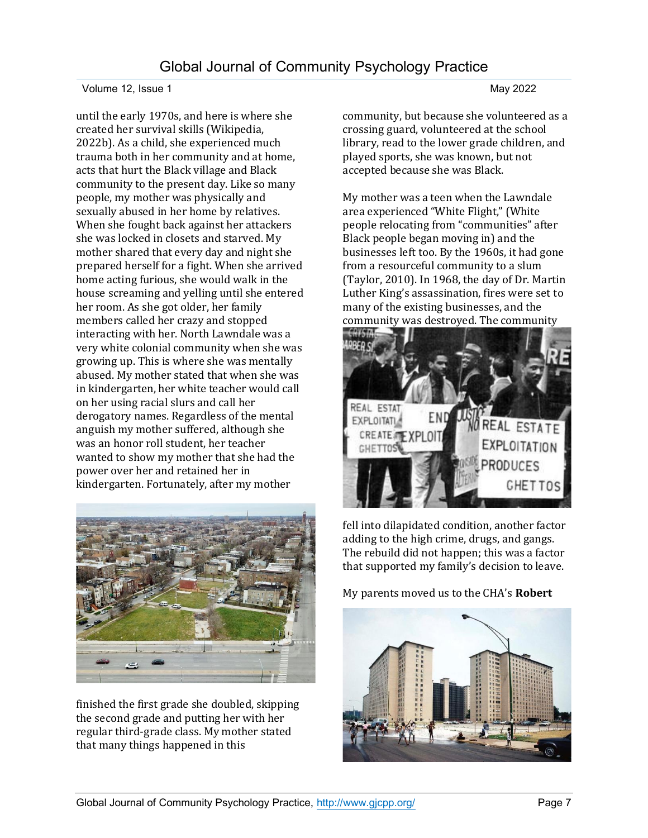### Volume 12, Issue 1 May 2022

until the early 1970s, and here is where she created her survival skills (Wikipedia, 2022b). As a child, she experienced much trauma both in her community and at home, acts that hurt the Black village and Black community to the present day. Like so many people, my mother was physically and sexually abused in her home by relatives. When she fought back against her attackers she was locked in closets and starved. My mother shared that every day and night she prepared herself for a fight. When she arrived home acting furious, she would walk in the house screaming and yelling until she entered her room. As she got older, her family members called her crazy and stopped interacting with her. North Lawndale was a very white colonial community when she was growing up. This is where she was mentally abused. My mother stated that when she was in kindergarten, her white teacher would call on her using racial slurs and call her derogatory names. Regardless of the mental anguish my mother suffered, although she was an honor roll student, her teacher wanted to show my mother that she had the power over her and retained her in kindergarten. Fortunately, after my mother



finished the first grade she doubled, skipping the second grade and putting her with her regular third-grade class. My mother stated that many things happened in this

community, but because she volunteered as a crossing guard, volunteered at the school library, read to the lower grade children, and played sports, she was known, but not accepted because she was Black.

My mother was a teen when the Lawndale area experienced "White Flight," (White people relocating from "communities" after Black people began moving in) and the businesses left too. By the 1960s, it had gone from a resourceful community to a slum (Taylor, 2010). In 1968, the day of Dr. Martin Luther King's assassination, fires were set to many of the existing businesses, and the community was destroyed. The community



fell into dilapidated condition, another factor adding to the high crime, drugs, and gangs. The rebuild did not happen; this was a factor that supported my family's decision to leave.

My parents moved us to the CHA's **Robert** 

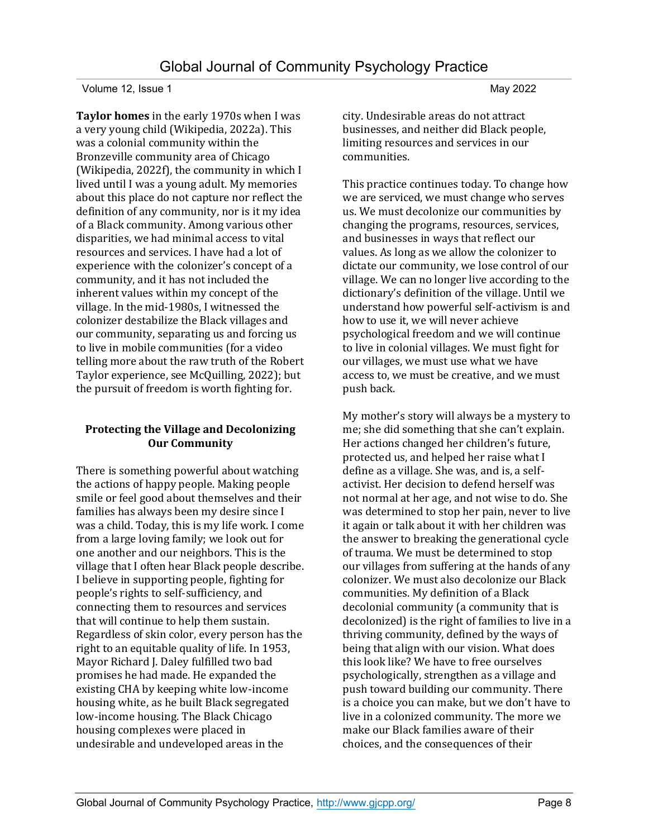**Taylor homes** in the early 1970s when I was a very young child (Wikipedia, 2022a). This was a colonial community within the Bronzeville community area of Chicago (Wikipedia, 2022f), the community in which I lived until I was a young adult. My memories about this place do not capture nor reflect the definition of any community, nor is it my idea of a Black community. Among various other disparities, we had minimal access to vital resources and services. I have had a lot of experience with the colonizer's concept of a community, and it has not included the inherent values within my concept of the village. In the mid-1980s, I witnessed the colonizer destabilize the Black villages and our community, separating us and forcing us to live in mobile communities (for a video telling more about the raw truth of the Robert Taylor experience, see McQuilling, 2022); but the pursuit of freedom is worth fighting for.

### **Protecting the Village and Decolonizing Our Community**

There is something powerful about watching the actions of happy people. Making people smile or feel good about themselves and their families has always been my desire since I was a child. Today, this is my life work. I come from a large loving family; we look out for one another and our neighbors. This is the village that I often hear Black people describe. I believe in supporting people, fighting for people's rights to self-sufficiency, and connecting them to resources and services that will continue to help them sustain. Regardless of skin color, every person has the right to an equitable quality of life. In 1953, Mayor Richard J. Daley fulfilled two bad promises he had made. He expanded the existing CHA by keeping white low-income housing white, as he built Black segregated low-income housing. The Black Chicago housing complexes were placed in undesirable and undeveloped areas in the

city. Undesirable areas do not attract businesses, and neither did Black people, limiting resources and services in our communities.

This practice continues today. To change how we are serviced, we must change who serves us. We must decolonize our communities by changing the programs, resources, services, and businesses in ways that reflect our values. As long as we allow the colonizer to dictate our community, we lose control of our village. We can no longer live according to the dictionary's definition of the village. Until we understand how powerful self-activism is and how to use it, we will never achieve psychological freedom and we will continue to live in colonial villages. We must fight for our villages, we must use what we have access to, we must be creative, and we must push back.

My mother's story will always be a mystery to me; she did something that she can't explain. Her actions changed her children's future, protected us, and helped her raise what I define as a village. She was, and is, a selfactivist. Her decision to defend herself was not normal at her age, and not wise to do. She was determined to stop her pain, never to live it again or talk about it with her children was the answer to breaking the generational cycle of trauma. We must be determined to stop our villages from suffering at the hands of any colonizer. We must also decolonize our Black communities. My definition of a Black decolonial community (a community that is decolonized) is the right of families to live in a thriving community, defined by the ways of being that align with our vision. What does this look like? We have to free ourselves psychologically, strengthen as a village and push toward building our community. There is a choice you can make, but we don't have to live in a colonized community. The more we make our Black families aware of their choices, and the consequences of their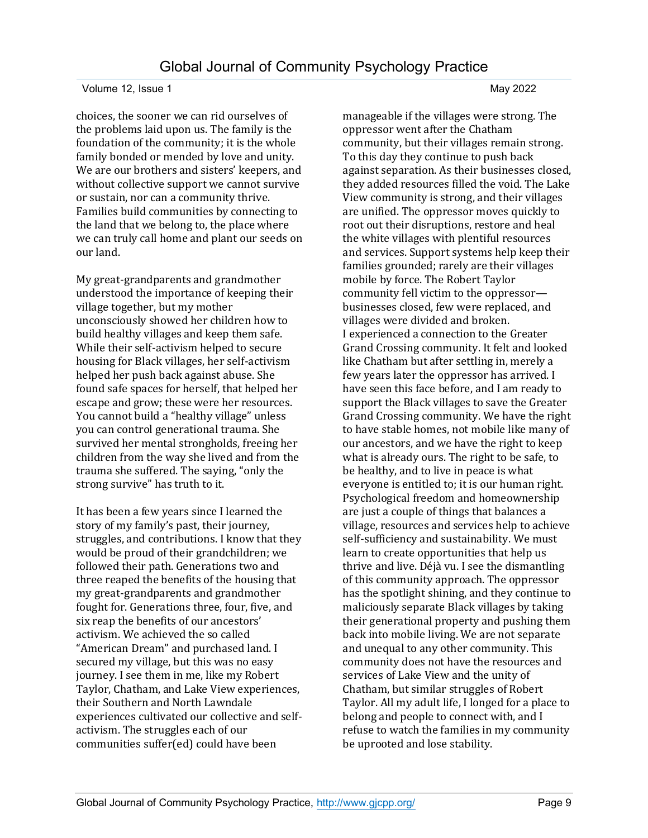choices, the sooner we can rid ourselves of the problems laid upon us. The family is the foundation of the community; it is the whole family bonded or mended by love and unity. We are our brothers and sisters' keepers, and without collective support we cannot survive or sustain, nor can a community thrive. Families build communities by connecting to the land that we belong to, the place where we can truly call home and plant our seeds on our land.

My great-grandparents and grandmother understood the importance of keeping their village together, but my mother unconsciously showed her children how to build healthy villages and keep them safe. While their self-activism helped to secure housing for Black villages, her self-activism helped her push back against abuse. She found safe spaces for herself, that helped her escape and grow; these were her resources. You cannot build a "healthy village" unless you can control generational trauma. She survived her mental strongholds, freeing her children from the way she lived and from the trauma she suffered. The saying, "only the strong survive" has truth to it.

It has been a few years since I learned the story of my family's past, their journey, struggles, and contributions. I know that they would be proud of their grandchildren; we followed their path. Generations two and three reaped the benefits of the housing that my great-grandparents and grandmother fought for. Generations three, four, five, and six reap the benefits of our ancestors' activism. We achieved the so called "American Dream" and purchased land. I secured my village, but this was no easy journey. I see them in me, like my Robert Taylor, Chatham, and Lake View experiences, their Southern and North Lawndale experiences cultivated our collective and selfactivism. The struggles each of our communities suffer(ed) could have been

manageable if the villages were strong. The oppressor went after the Chatham community, but their villages remain strong. To this day they continue to push back against separation. As their businesses closed, they added resources filled the void. The Lake View community is strong, and their villages are unified. The oppressor moves quickly to root out their disruptions, restore and heal the white villages with plentiful resources and services. Support systems help keep their families grounded; rarely are their villages mobile by force. The Robert Taylor community fell victim to the oppressor businesses closed, few were replaced, and villages were divided and broken. I experienced a connection to the Greater Grand Crossing community. It felt and looked like Chatham but after settling in, merely a few years later the oppressor has arrived. I have seen this face before, and I am ready to support the Black villages to save the Greater Grand Crossing community. We have the right to have stable homes, not mobile like many of our ancestors, and we have the right to keep what is already ours. The right to be safe, to be healthy, and to live in peace is what everyone is entitled to; it is our human right. Psychological freedom and homeownership are just a couple of things that balances a village, resources and services help to achieve self-sufficiency and sustainability. We must learn to create opportunities that help us thrive and live. Déjà vu. I see the dismantling of this community approach. The oppressor has the spotlight shining, and they continue to maliciously separate Black villages by taking their generational property and pushing them back into mobile living. We are not separate and unequal to any other community. This community does not have the resources and services of Lake View and the unity of Chatham, but similar struggles of Robert Taylor. All my adult life, I longed for a place to belong and people to connect with, and I refuse to watch the families in my community be uprooted and lose stability.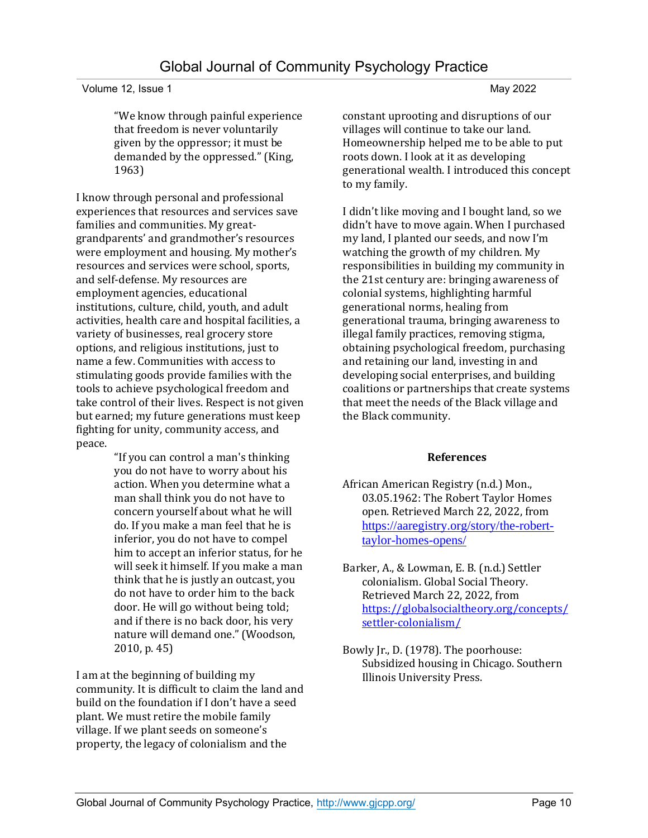### Volume 12, Issue 1 May 2022

"We know through painful experience that freedom is never voluntarily given by the oppressor; it must be demanded by the oppressed." (King, 1963)

I know through personal and professional experiences that resources and services save families and communities. My greatgrandparents' and grandmother's resources were employment and housing. My mother's resources and services were school, sports, and self-defense. My resources are employment agencies, educational institutions, culture, child, youth, and adult activities, health care and hospital facilities, a variety of businesses, real grocery store options, and religious institutions, just to name a few. Communities with access to stimulating goods provide families with the tools to achieve psychological freedom and take control of their lives. Respect is not given but earned; my future generations must keep fighting for unity, community access, and peace.

"If you can control a man's thinking you do not have to worry about his action. When you determine what a man shall think you do not have to concern yourself about what he will do. If you make a man feel that he is inferior, you do not have to compel him to accept an inferior status, for he will seek it himself. If you make a man think that he is justly an outcast, you do not have to order him to the back door. He will go without being told; and if there is no back door, his very nature will demand one." (Woodson, 2010, p. 45)

I am at the beginning of building my community. It is difficult to claim the land and build on the foundation if I don't have a seed plant. We must retire the mobile family village. If we plant seeds on someone's property, the legacy of colonialism and the

constant uprooting and disruptions of our villages will continue to take our land. Homeownership helped me to be able to put roots down. I look at it as developing generational wealth. I introduced this concept to my family.

I didn't like moving and I bought land, so we didn't have to move again. When I purchased my land, I planted our seeds, and now I'm watching the growth of my children. My responsibilities in building my community in the 21st century are: bringing awareness of colonial systems, highlighting harmful generational norms, healing from generational trauma, bringing awareness to illegal family practices, removing stigma, obtaining psychological freedom, purchasing and retaining our land, investing in and developing social enterprises, and building coalitions or partnerships that create systems that meet the needs of the Black village and the Black community.

### **References**

- African American Registry (n.d.) Mon., 03.05.1962: The Robert Taylor Homes open. Retrieved March 22, 2022, from https://aaregistry.org/story/the-roberttaylor-homes-opens/
- Barker, A., & Lowman, E. B. (n.d.) Settler colonialism. Global Social Theory. Retrieved March 22, 2022, from [https://globalsocialtheory.org/concepts/](https://globalsocialtheory.org/concepts/settler-colonialism/) [settler-colonialism/](https://globalsocialtheory.org/concepts/settler-colonialism/)
- Bowly Jr., D. (1978). The poorhouse: Subsidized housing in Chicago. Southern Illinois University Press.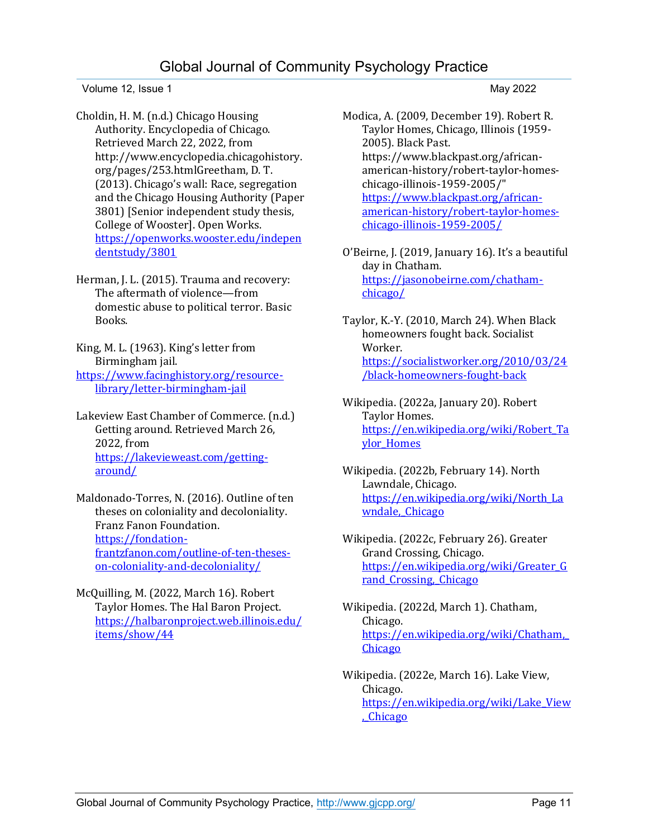Volume 12, Issue 1 May 2022

Choldin, H. M. (n.d.) Chicago Housing Authority. Encyclopedia of Chicago. Retrieved March 22, 2022, from http://www.encyclopedia.chicagohistory. org/pages/253.htmlGreetham, D. T. (2013). Chicago's wall: Race, segregation and the Chicago Housing Authority (Paper 3801) [Senior independent study thesis, College of Wooster]. Open Works. [https://openworks.wooster.edu/indepen](https://openworks.wooster.edu/independentstudy/3801) [dentstudy/3801](https://openworks.wooster.edu/independentstudy/3801)

Herman, J. L. (2015). Trauma and recovery: The aftermath of violence—from domestic abuse to political terror. Basic Books.

King, M. L. (1963). King's letter from Birmingham jail. [https://www.facinghistory.org/resource-](https://www.facinghistory.org/resource-library/letter-birmingham-jail)

[library/letter-birmingham-jail](https://www.facinghistory.org/resource-library/letter-birmingham-jail)

Lakeview East Chamber of Commerce. (n.d.) Getting around. Retrieved March 26, 2022, from [https://lakevieweast.com/getting](https://lakevieweast.com/getting-around/)[around/](https://lakevieweast.com/getting-around/)

Maldonado-Torres, N. (2016). Outline of ten theses on coloniality and decoloniality. Franz Fanon Foundation. [https://fondation](https://fondation-frantzfanon.com/outline-of-ten-theses-on-coloniality-and-decoloniality/)[frantzfanon.com/outline-of-ten-theses](https://fondation-frantzfanon.com/outline-of-ten-theses-on-coloniality-and-decoloniality/)[on-coloniality-and-decoloniality/](https://fondation-frantzfanon.com/outline-of-ten-theses-on-coloniality-and-decoloniality/)

McQuilling, M. (2022, March 16). Robert Taylor Homes. The Hal Baron Project. [https://halbaronproject.web.illinois.edu/](https://halbaronproject.web.illinois.edu/items/show/44) [items/show/44](https://halbaronproject.web.illinois.edu/items/show/44)

Modica, A. (2009, December 19). Robert R. Taylor Homes, Chicago, Illinois (1959- 2005). Black Past. https://www.blackpast.org/africanamerican-history/robert-taylor-homeschicago-illinois-1959-2005/" [https://www.blackpast.org/african](https://www.blackpast.org/african-american-history/robert-taylor-homes-chicago-illinois-1959-2005/)[american-history/robert-taylor-homes](https://www.blackpast.org/african-american-history/robert-taylor-homes-chicago-illinois-1959-2005/)[chicago-illinois-1959-2005/](https://www.blackpast.org/african-american-history/robert-taylor-homes-chicago-illinois-1959-2005/)

O'Beirne, J. (2019, January 16). It's a beautiful day in Chatham. [https://jasonobeirne.com/chatham](https://jasonobeirne.com/chatham-chicago/)[chicago/](https://jasonobeirne.com/chatham-chicago/)

Taylor, K.-Y. (2010, March 24). When Black homeowners fought back. Socialist Worker. [https://socialistworker.org/2010/03/24](https://socialistworker.org/2010/03/24/black-homeowners-fought-back) [/black-homeowners-fought-back](https://socialistworker.org/2010/03/24/black-homeowners-fought-back)

- Wikipedia. (2022a, January 20). Robert Taylor Homes. [https://en.wikipedia.org/wiki/Robert\\_Ta](https://en.wikipedia.org/wiki/Robert_Taylor_Homes) [ylor\\_Homes](https://en.wikipedia.org/wiki/Robert_Taylor_Homes)
- Wikipedia. (2022b, February 14). North Lawndale, Chicago. [https://en.wikipedia.org/wiki/North\\_La](https://en.wikipedia.org/wiki/North_Lawndale,_Chicago) wndale, Chicago
- Wikipedia. (2022c, February 26). Greater Grand Crossing, Chicago. [https://en.wikipedia.org/wiki/Greater\\_G](https://en.wikipedia.org/wiki/Greater_Grand_Crossing,_Chicago) rand Crossing, Chicago
- Wikipedia. (2022d, March 1). Chatham, Chicago. [https://en.wikipedia.org/wiki/Chatham,\\_](https://en.wikipedia.org/wiki/Chatham,_Chicago) **[Chicago](https://en.wikipedia.org/wiki/Chatham,_Chicago)**
- Wikipedia. (2022e, March 16). Lake View, Chicago. [https://en.wikipedia.org/wiki/Lake\\_View](https://en.wikipedia.org/wiki/Lake_View,_Chicago) [,\\_Chicago](https://en.wikipedia.org/wiki/Lake_View,_Chicago)